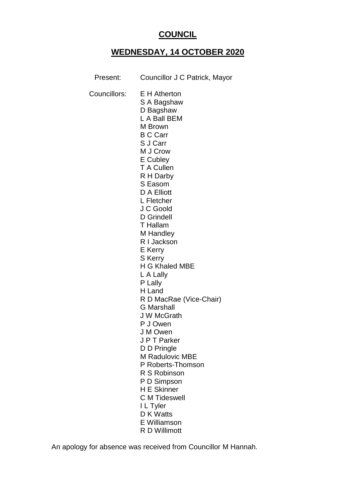# **COUNCIL**

# **WEDNESDAY, 14 OCTOBER 2020**

| Present:     | Councillor J C Patrick, Mayor                                                                                                                                                                                                                                                                                                                                                                                                                                                                                                                                                                                                  |
|--------------|--------------------------------------------------------------------------------------------------------------------------------------------------------------------------------------------------------------------------------------------------------------------------------------------------------------------------------------------------------------------------------------------------------------------------------------------------------------------------------------------------------------------------------------------------------------------------------------------------------------------------------|
| Councillors: | <b>E</b> H Atherton<br>S A Bagshaw<br>D Bagshaw<br>L A Ball BEM<br>M Brown<br><b>B C Carr</b><br>S J Carr<br>M J Crow<br>E Cubley<br><b>T</b> A Cullen<br>R H Darby<br>S Easom<br>D A Elliott<br>L Fletcher<br>J C Goold<br>D Grindell<br>T Hallam<br>M Handley<br>R I Jackson<br>E Kerry<br><b>S</b> Kerry<br><b>H G Khaled MBE</b><br>L A Lally<br>P Lally<br>H Land<br>R D MacRae (Vice-Chair)<br><b>G</b> Marshall<br>J W McGrath<br>P J Owen<br>J M Owen<br>J P T Parker<br>D D Pringle<br>M Radulovic MBE<br>P Roberts-Thomson<br>R S Robinson<br>P D Simpson<br><b>H E Skinner</b><br><b>C</b> M Tideswell<br>I L Tyler |
|              | D K Watts<br><b>E</b> Williamson                                                                                                                                                                                                                                                                                                                                                                                                                                                                                                                                                                                               |
|              | R D Willimott                                                                                                                                                                                                                                                                                                                                                                                                                                                                                                                                                                                                                  |

An apology for absence was received from Councillor M Hannah.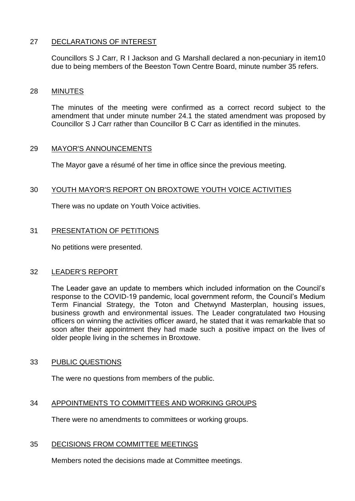# 27 DECLARATIONS OF INTEREST

Councillors S J Carr, R I Jackson and G Marshall declared a non-pecuniary in item10 due to being members of the Beeston Town Centre Board, minute number 35 refers.

#### 28 MINUTES

The minutes of the meeting were confirmed as a correct record subject to the amendment that under minute number 24.1 the stated amendment was proposed by Councillor S J Carr rather than Councillor B C Carr as identified in the minutes.

#### 29 MAYOR'S ANNOUNCEMENTS

The Mayor gave a résumé of her time in office since the previous meeting.

#### 30 YOUTH MAYOR'S REPORT ON BROXTOWE YOUTH VOICE ACTIVITIES

There was no update on Youth Voice activities.

#### 31 PRESENTATION OF PETITIONS

No petitions were presented.

#### 32 LEADER'S REPORT

The Leader gave an update to members which included information on the Council's response to the COVID-19 pandemic, local government reform, the Council's Medium Term Financial Strategy, the Toton and Chetwynd Masterplan, housing issues, business growth and environmental issues. The Leader congratulated two Housing officers on winning the activities officer award, he stated that it was remarkable that so soon after their appointment they had made such a positive impact on the lives of older people living in the schemes in Broxtowe.

#### 33 PUBLIC QUESTIONS

The were no questions from members of the public.

#### 34 APPOINTMENTS TO COMMITTEES AND WORKING GROUPS

There were no amendments to committees or working groups.

#### 35 DECISIONS FROM COMMITTEE MEETINGS

Members noted the decisions made at Committee meetings.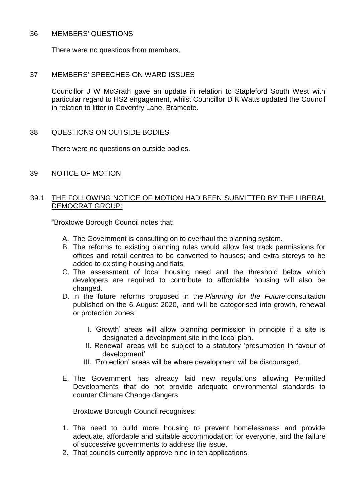#### 36 MEMBERS' QUESTIONS

There were no questions from members.

# 37 MEMBERS' SPEECHES ON WARD ISSUES

Councillor J W McGrath gave an update in relation to Stapleford South West with particular regard to HS2 engagement, whilst Councillor D K Watts updated the Council in relation to litter in Coventry Lane, Bramcote.

# 38 QUESTIONS ON OUTSIDE BODIES

There were no questions on outside bodies.

39 NOTICE OF MOTION

#### 39.1 THE FOLLOWING NOTICE OF MOTION HAD BEEN SUBMITTED BY THE LIBERAL DEMOCRAT GROUP:

"Broxtowe Borough Council notes that:

- A. The Government is consulting on to overhaul the planning system.
- B. The reforms to existing planning rules would allow fast track permissions for offices and retail centres to be converted to houses; and extra storeys to be added to existing housing and flats.
- C. The assessment of local housing need and the threshold below which developers are required to contribute to affordable housing will also be changed.
- D. In the future reforms proposed in the *Planning for the Future* consultation published on the 6 August 2020, land will be categorised into growth, renewal or protection zones;
	- I. 'Growth' areas will allow planning permission in principle if a site is designated a development site in the local plan.
	- II. Renewal' areas will be subject to a statutory 'presumption in favour of development'
	- III. 'Protection' areas will be where development will be discouraged.
- E. The Government has already laid new regulations allowing Permitted Developments that do not provide adequate environmental standards to counter Climate Change dangers

Broxtowe Borough Council recognises:

- 1. The need to build more housing to prevent homelessness and provide adequate, affordable and suitable accommodation for everyone, and the failure of successive governments to address the issue.
- 2. That councils currently approve nine in ten applications.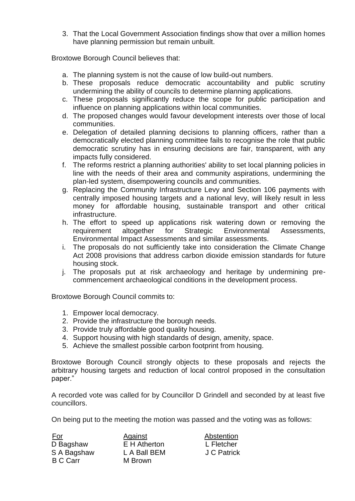3. That the Local Government Association findings show that over a million homes have planning permission but remain unbuilt.

Broxtowe Borough Council believes that:

- a. The planning system is not the cause of low build-out numbers.
- b. These proposals reduce democratic accountability and public scrutiny undermining the ability of councils to determine planning applications.
- c. These proposals significantly reduce the scope for public participation and influence on planning applications within local communities.
- d. The proposed changes would favour development interests over those of local communities.
- e. Delegation of detailed planning decisions to planning officers, rather than a democratically elected planning committee fails to recognise the role that public democratic scrutiny has in ensuring decisions are fair, transparent, with any impacts fully considered.
- f. The reforms restrict a planning authorities' ability to set local planning policies in line with the needs of their area and community aspirations, undermining the plan-led system, disempowering councils and communities.
- g. Replacing the Community Infrastructure Levy and Section 106 payments with centrally imposed housing targets and a national levy, will likely result in less money for affordable housing, sustainable transport and other critical infrastructure.
- h. The effort to speed up applications risk watering down or removing the requirement altogether for Strategic Environmental Assessments, Environmental Impact Assessments and similar assessments.
- i. The proposals do not sufficiently take into consideration the Climate Change Act 2008 provisions that address carbon dioxide emission standards for future housing stock.
- j. The proposals put at risk archaeology and heritage by undermining precommencement archaeological conditions in the development process.

Broxtowe Borough Council commits to:

- 1. Empower local democracy.
- 2. Provide the infrastructure the borough needs.
- 3. Provide truly affordable good quality housing.
- 4. Support housing with high standards of design, amenity, space.
- 5. Achieve the smallest possible carbon footprint from housing.

Broxtowe Borough Council strongly objects to these proposals and rejects the arbitrary housing targets and reduction of local control proposed in the consultation paper."

A recorded vote was called for by Councillor D Grindell and seconded by at least five councillors.

On being put to the meeting the motion was passed and the voting was as follows:

| <u>For</u>      | Against      | Abstention  |
|-----------------|--------------|-------------|
| D Bagshaw       | E H Atherton | L Fletcher  |
| S A Bagshaw     | L A Ball BEM | J C Patrick |
| <b>B C Carr</b> | M Brown      |             |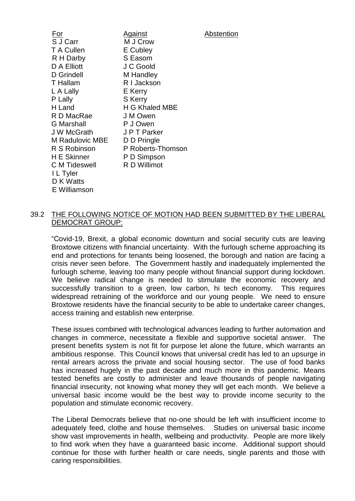| For               | <b>Against</b>    | Abstention |
|-------------------|-------------------|------------|
| S J Carr          | M J Crow          |            |
| T A Cullen        | E Cubley          |            |
| R H Darby         | S Easom           |            |
| D A Elliott       | J C Goold         |            |
| D Grindell        | M Handley         |            |
| <b>T</b> Hallam   | R I Jackson       |            |
| L A Lally         | E Kerry           |            |
| P Lally           | <b>S</b> Kerry    |            |
| H Land            | H G Khaled MBE    |            |
| R D MacRae        | J M Owen          |            |
| <b>G</b> Marshall | P J Owen          |            |
| <b>JW</b> McGrath | J P T Parker      |            |
| M Radulovic MBE   | D D Pringle       |            |
| R S Robinson      | P Roberts-Thomson |            |
| H E Skinner       | P D Simpson       |            |
| C M Tideswell     | R D Willimot      |            |
| I L Tyler         |                   |            |
| D K Watts         |                   |            |
| E Williamson      |                   |            |
|                   |                   |            |

# 39.2 THE FOLLOWING NOTICE OF MOTION HAD BEEN SUBMITTED BY THE LIBERAL DEMOCRAT GROUP:

"Covid-19, Brexit, a global economic downturn and social security cuts are leaving Broxtowe citizens with financial uncertainty. With the furlough scheme approaching its end and protections for tenants being loosened, the borough and nation are facing a crisis never seen before. The Government hastily and inadequately implemented the furlough scheme, leaving too many people without financial support during lockdown. We believe radical change is needed to stimulate the economic recovery and successfully transition to a green, low carbon, hi tech economy. This requires widespread retraining of the workforce and our young people. We need to ensure Broxtowe residents have the financial security to be able to undertake career changes, access training and establish new enterprise.

These issues combined with technological advances leading to further automation and changes in commerce, necessitate a flexible and supportive societal answer. The present benefits system is not fit for purpose let alone the future, which warrants an ambitious response. This Council knows that universal credit has led to an upsurge in rental arrears across the private and social housing sector. The use of food banks has increased hugely in the past decade and much more in this pandemic. Means tested benefits are costly to administer and leave thousands of people navigating financial insecurity, not knowing what money they will get each month. We believe a universal basic income would be the best way to provide income security to the population and stimulate economic recovery.

The Liberal Democrats believe that no-one should be left with insufficient income to adequately feed, clothe and house themselves. Studies on universal basic income show vast improvements in health, wellbeing and productivity. People are more likely to find work when they have a guaranteed basic income. Additional support should continue for those with further health or care needs, single parents and those with caring responsibilities.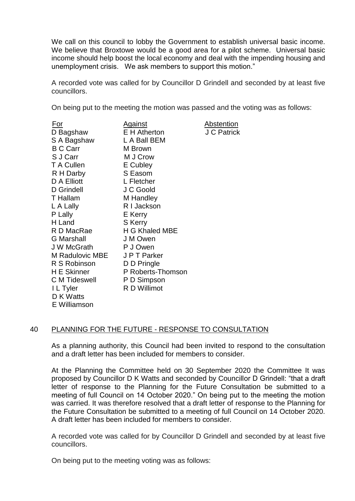We call on this council to lobby the Government to establish universal basic income. We believe that Broxtowe would be a good area for a pilot scheme. Universal basic income should help boost the local economy and deal with the impending housing and unemployment crisis. We ask members to support this motion."

A recorded vote was called for by Councillor D Grindell and seconded by at least five councillors.

On being put to the meeting the motion was passed and the voting was as follows:

| <u>For</u>         | <u>Against</u>    | <b>Abstention</b> |
|--------------------|-------------------|-------------------|
| D Bagshaw          | E H Atherton      | J C Patrick       |
| S A Bagshaw        | L A Ball BEM      |                   |
| <b>B C Carr</b>    | M Brown           |                   |
| S J Carr           | M J Crow          |                   |
| T A Cullen         | E Cubley          |                   |
| R H Darby          | S Easom           |                   |
| D A Elliott        | L Fletcher        |                   |
| D Grindell         | J C Goold         |                   |
| T Hallam           | M Handley         |                   |
| L A Lally          | R I Jackson       |                   |
| P Lally            | E Kerry           |                   |
| H Land             | S Kerry           |                   |
| R D MacRae         | H G Khaled MBE    |                   |
| <b>G</b> Marshall  | J M Owen          |                   |
| J W McGrath        | P J Owen          |                   |
| M Radulovic MBE    | J P T Parker      |                   |
| R S Robinson       | D D Pringle       |                   |
| <b>H</b> E Skinner | P Roberts-Thomson |                   |
| C M Tideswell      | P D Simpson       |                   |
| I L Tyler          | R D Willimot      |                   |
| D K Watts          |                   |                   |
| E Williamson       |                   |                   |

#### 40 PLANNING FOR THE FUTURE - RESPONSE TO CONSULTATION

As a planning authority, this Council had been invited to respond to the consultation and a draft letter has been included for members to consider.

At the Planning the Committee held on 30 September 2020 the Committee It was proposed by Councillor D K Watts and seconded by Councillor D Grindell: "that a draft letter of response to the Planning for the Future Consultation be submitted to a meeting of full Council on 14 October 2020." On being put to the meeting the motion was carried. It was therefore resolved that a draft letter of response to the Planning for the Future Consultation be submitted to a meeting of full Council on 14 October 2020. A draft letter has been included for members to consider.

A recorded vote was called for by Councillor D Grindell and seconded by at least five councillors.

On being put to the meeting voting was as follows: